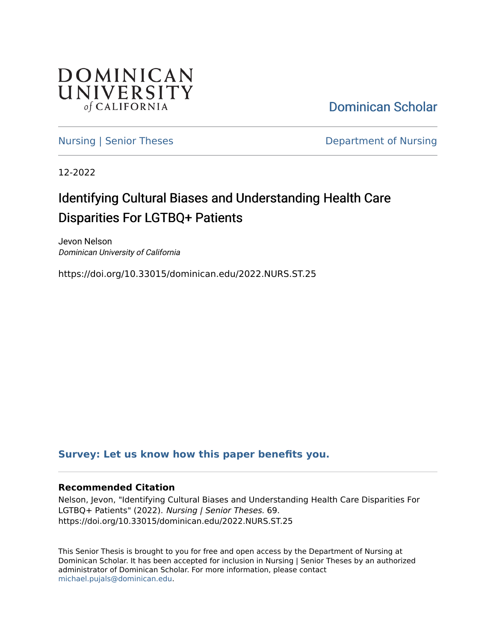

[Dominican Scholar](https://scholar.dominican.edu/) 

[Nursing | Senior Theses](https://scholar.dominican.edu/nursing-senior-theses) **Department of Nursing** 

12-2022

# Identifying Cultural Biases and Understanding Health Care Disparities For LGTBQ+ Patients

Jevon Nelson Dominican University of California

https://doi.org/10.33015/dominican.edu/2022.NURS.ST.25

### **[Survey: Let us know how this paper benefits you.](https://dominican.libwizard.com/dominican-scholar-feedback)**

#### **Recommended Citation**

Nelson, Jevon, "Identifying Cultural Biases and Understanding Health Care Disparities For LGTBQ+ Patients" (2022). Nursing | Senior Theses. 69. https://doi.org/10.33015/dominican.edu/2022.NURS.ST.25

This Senior Thesis is brought to you for free and open access by the Department of Nursing at Dominican Scholar. It has been accepted for inclusion in Nursing | Senior Theses by an authorized administrator of Dominican Scholar. For more information, please contact [michael.pujals@dominican.edu.](mailto:michael.pujals@dominican.edu)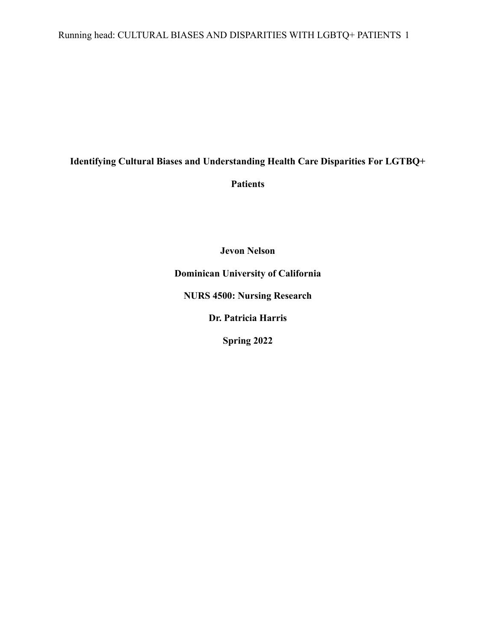Running head: CULTURAL BIASES AND DISPARITIES WITH LGBTQ+ PATIENTS 1

### **Identifying Cultural Biases and Understanding Health Care Disparities For LGTBQ+**

**Patients**

**Jevon Nelson Dominican University of California NURS 4500: Nursing Research Dr. Patricia Harris Spring 2022**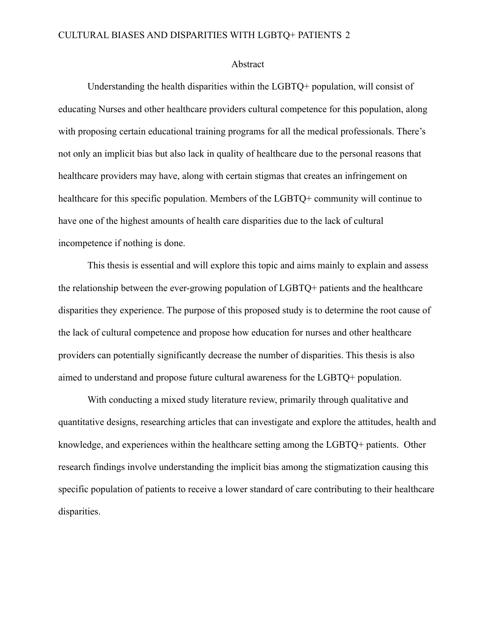#### Abstract

Understanding the health disparities within the LGBTQ+ population, will consist of educating Nurses and other healthcare providers cultural competence for this population, along with proposing certain educational training programs for all the medical professionals. There's not only an implicit bias but also lack in quality of healthcare due to the personal reasons that healthcare providers may have, along with certain stigmas that creates an infringement on healthcare for this specific population. Members of the LGBTQ+ community will continue to have one of the highest amounts of health care disparities due to the lack of cultural incompetence if nothing is done.

This thesis is essential and will explore this topic and aims mainly to explain and assess the relationship between the ever-growing population of LGBTQ+ patients and the healthcare disparities they experience. The purpose of this proposed study is to determine the root cause of the lack of cultural competence and propose how education for nurses and other healthcare providers can potentially significantly decrease the number of disparities. This thesis is also aimed to understand and propose future cultural awareness for the LGBTQ+ population.

With conducting a mixed study literature review, primarily through qualitative and quantitative designs, researching articles that can investigate and explore the attitudes, health and knowledge, and experiences within the healthcare setting among the LGBTQ+ patients. Other research findings involve understanding the implicit bias among the stigmatization causing this specific population of patients to receive a lower standard of care contributing to their healthcare disparities.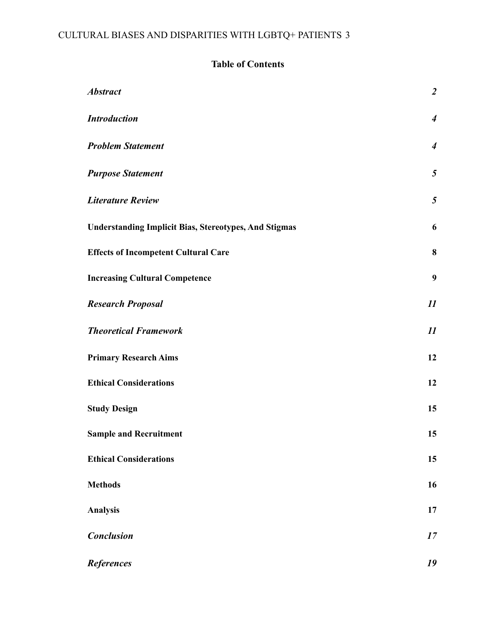### **Table of Contents**

| <b>Abstract</b>                                              | $\overline{a}$   |
|--------------------------------------------------------------|------------------|
| <b>Introduction</b>                                          | $\boldsymbol{4}$ |
| <b>Problem Statement</b>                                     | $\boldsymbol{4}$ |
| <b>Purpose Statement</b>                                     | $\overline{5}$   |
| <b>Literature Review</b>                                     | 5                |
| <b>Understanding Implicit Bias, Stereotypes, And Stigmas</b> | 6                |
| <b>Effects of Incompetent Cultural Care</b>                  | $\boldsymbol{8}$ |
| <b>Increasing Cultural Competence</b>                        | $\boldsymbol{9}$ |
| <b>Research Proposal</b>                                     | 11               |
| <b>Theoretical Framework</b>                                 | 11               |
| <b>Primary Research Aims</b>                                 | 12               |
| <b>Ethical Considerations</b>                                | 12               |
| <b>Study Design</b>                                          | 15               |
| <b>Sample and Recruitment</b>                                | 15               |
| <b>Ethical Considerations</b>                                | 15               |
| <b>Methods</b>                                               | 16               |
| <b>Analysis</b>                                              | 17               |
| <b>Conclusion</b>                                            | 17               |
| <b>References</b>                                            | 19               |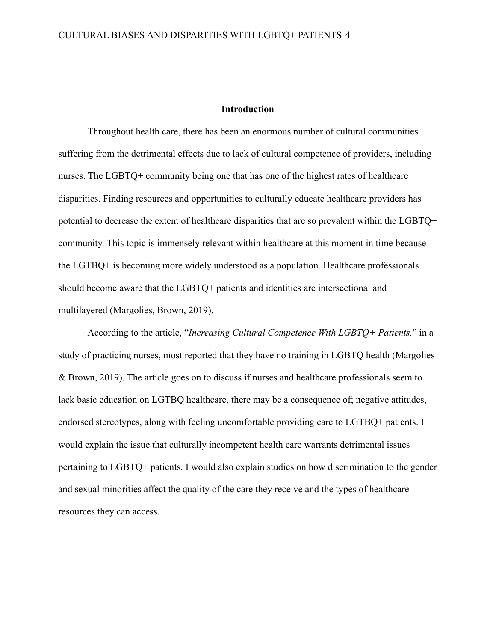#### **Introduction**

<span id="page-4-0"></span>Throughout health care, there has been an enormous number of cultural communities suffering from the detrimental effects due to lack of cultural competence of providers, including nurses. The LGBTQ+ community being one that has one of the highest rates of healthcare disparities. Finding resources and opportunities to culturally educate healthcare providers has potential to decrease the extent of healthcare disparities that are so prevalent within the LGBTQ+ community. This topic is immensely relevant within healthcare at this moment in time because the LGTBQ+ is becoming more widely understood as a population. Healthcare professionals should become aware that the LGBTQ+ patients and identities are intersectional and multilayered (Margolies, Brown, 2019).

According to the article, "*Increasing Cultural Competence With LGBTQ+ Patients,*" in a study of practicing nurses, most reported that they have no training in LGBTQ health (Margolies & Brown, 2019). The article goes on to discuss if nurses and healthcare professionals seem to lack basic education on LGTBQ healthcare, there may be a consequence of; negative attitudes, endorsed stereotypes, along with feeling uncomfortable providing care to LGTBQ+ patients. I would explain the issue that culturally incompetent health care warrants detrimental issues pertaining to LGBTQ+ patients. I would also explain studies on how discrimination to the gender and sexual minorities affect the quality of the care they receive and the types of healthcare resources they can access.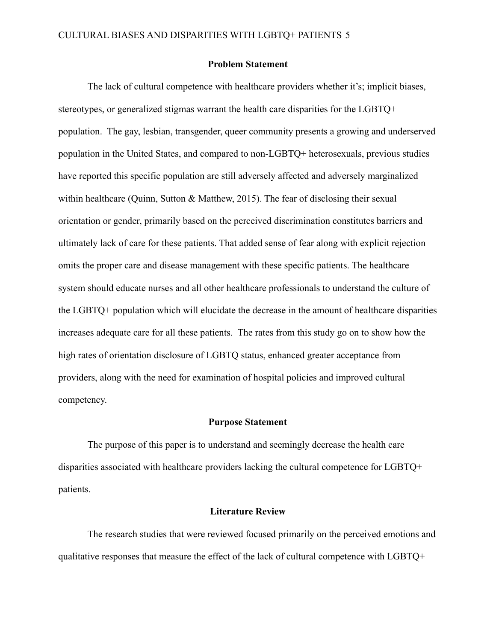#### **Problem Statement**

<span id="page-5-0"></span>The lack of cultural competence with healthcare providers whether it's; implicit biases, stereotypes, or generalized stigmas warrant the health care disparities for the LGBTQ+ population. The gay, lesbian, transgender, queer community presents a growing and underserved population in the United States, and compared to non-LGBTQ+ heterosexuals, previous studies have reported this specific population are still adversely affected and adversely marginalized within healthcare (Quinn, Sutton & Matthew, 2015). The fear of disclosing their sexual orientation or gender, primarily based on the perceived discrimination constitutes barriers and ultimately lack of care for these patients. That added sense of fear along with explicit rejection omits the proper care and disease management with these specific patients. The healthcare system should educate nurses and all other healthcare professionals to understand the culture of the LGBTQ+ population which will elucidate the decrease in the amount of healthcare disparities increases adequate care for all these patients. The rates from this study go on to show how the high rates of orientation disclosure of LGBTQ status, enhanced greater acceptance from providers, along with the need for examination of hospital policies and improved cultural competency.

#### **Purpose Statement**

<span id="page-5-1"></span>The purpose of this paper is to understand and seemingly decrease the health care disparities associated with healthcare providers lacking the cultural competence for LGBTQ+ patients.

#### **Literature Review**

<span id="page-5-2"></span>The research studies that were reviewed focused primarily on the perceived emotions and qualitative responses that measure the effect of the lack of cultural competence with LGBTQ+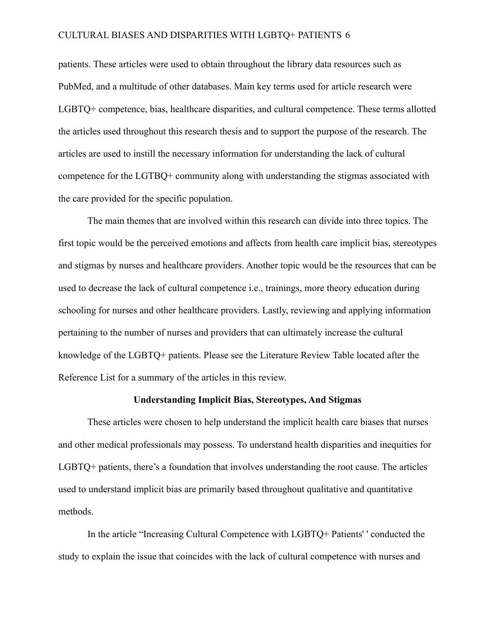patients. These articles were used to obtain throughout the library data resources such as PubMed, and a multitude of other databases. Main key terms used for article research were LGBTQ+ competence, bias, healthcare disparities, and cultural competence. These terms allotted the articles used throughout this research thesis and to support the purpose of the research. The articles are used to instill the necessary information for understanding the lack of cultural competence for the LGTBQ+ community along with understanding the stigmas associated with the care provided for the specific population.

The main themes that are involved within this research can divide into three topics. The first topic would be the perceived emotions and affects from health care implicit bias, stereotypes and stigmas by nurses and healthcare providers. Another topic would be the resources that can be used to decrease the lack of cultural competence i.e., trainings, more theory education during schooling for nurses and other healthcare providers. Lastly, reviewing and applying information pertaining to the number of nurses and providers that can ultimately increase the cultural knowledge of the LGBTQ+ patients. Please see the Literature Review Table located after the Reference List for a summary of the articles in this review.

#### **Understanding Implicit Bias, Stereotypes, And Stigmas**

<span id="page-6-0"></span>These articles were chosen to help understand the implicit health care biases that nurses and other medical professionals may possess. To understand health disparities and inequities for LGBTQ+ patients, there's a foundation that involves understanding the root cause. The articles used to understand implicit bias are primarily based throughout qualitative and quantitative methods.

In the article "Increasing Cultural Competence with LGBTQ+ Patients' ' conducted the study to explain the issue that coincides with the lack of cultural competence with nurses and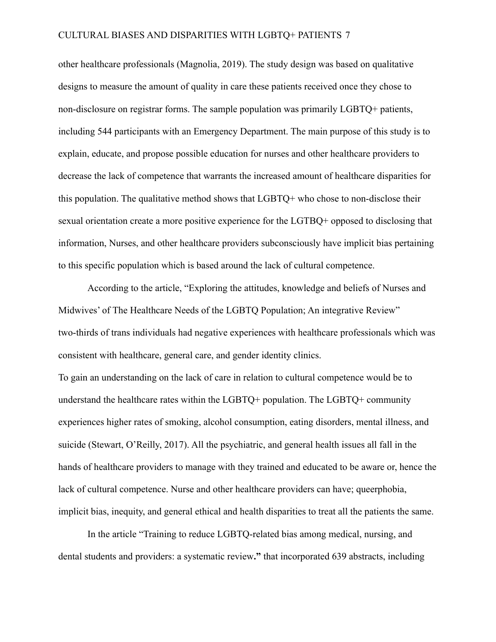other healthcare professionals (Magnolia, 2019). The study design was based on qualitative designs to measure the amount of quality in care these patients received once they chose to non-disclosure on registrar forms. The sample population was primarily LGBTQ+ patients, including 544 participants with an Emergency Department. The main purpose of this study is to explain, educate, and propose possible education for nurses and other healthcare providers to decrease the lack of competence that warrants the increased amount of healthcare disparities for this population. The qualitative method shows that LGBTQ+ who chose to non-disclose their sexual orientation create a more positive experience for the LGTBQ+ opposed to disclosing that information, Nurses, and other healthcare providers subconsciously have implicit bias pertaining to this specific population which is based around the lack of cultural competence.

According to the article, "Exploring the attitudes, knowledge and beliefs of Nurses and Midwives' of The Healthcare Needs of the LGBTQ Population; An integrative Review" two-thirds of trans individuals had negative experiences with healthcare professionals which was consistent with healthcare, general care, and gender identity clinics.

To gain an understanding on the lack of care in relation to cultural competence would be to understand the healthcare rates within the LGBTQ+ population. The LGBTQ+ community experiences higher rates of smoking, alcohol consumption, eating disorders, mental illness, and suicide (Stewart, O'Reilly, 2017). All the psychiatric, and general health issues all fall in the hands of healthcare providers to manage with they trained and educated to be aware or, hence the lack of cultural competence. Nurse and other healthcare providers can have; queerphobia, implicit bias, inequity, and general ethical and health disparities to treat all the patients the same.

In the article "Training to reduce LGBTQ-related bias among medical, nursing, and dental students and providers: a systematic review**."** that incorporated 639 abstracts, including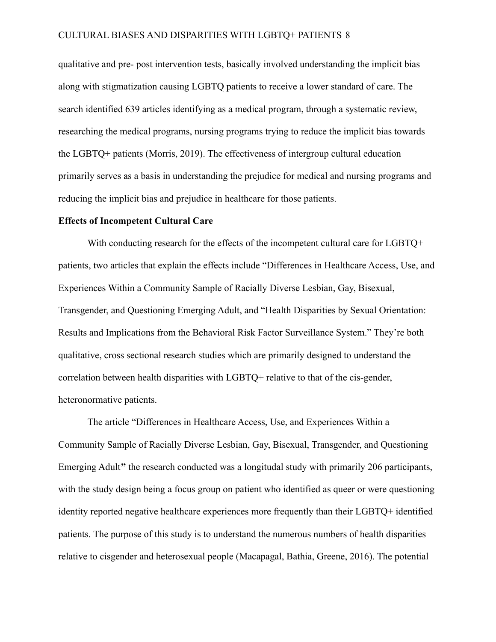qualitative and pre- post intervention tests, basically involved understanding the implicit bias along with stigmatization causing LGBTQ patients to receive a lower standard of care. The search identified 639 articles identifying as a medical program, through a systematic review, researching the medical programs, nursing programs trying to reduce the implicit bias towards the LGBTQ+ patients (Morris, 2019). The effectiveness of intergroup cultural education primarily serves as a basis in understanding the prejudice for medical and nursing programs and reducing the implicit bias and prejudice in healthcare for those patients.

#### <span id="page-8-0"></span>**Effects of Incompetent Cultural Care**

With conducting research for the effects of the incompetent cultural care for LGBTQ+ patients, two articles that explain the effects include "Differences in Healthcare Access, Use, and Experiences Within a Community Sample of Racially Diverse Lesbian, Gay, Bisexual, Transgender, and Questioning Emerging Adult, and "Health Disparities by Sexual Orientation: Results and Implications from the Behavioral Risk Factor Surveillance System." They're both qualitative, cross sectional research studies which are primarily designed to understand the correlation between health disparities with LGBTQ+ relative to that of the cis-gender, heteronormative patients.

The article "Differences in Healthcare Access, Use, and Experiences Within a Community Sample of Racially Diverse Lesbian, Gay, Bisexual, Transgender, and Questioning Emerging Adult**"** the research conducted was a longitudal study with primarily 206 participants, with the study design being a focus group on patient who identified as queer or were questioning identity reported negative healthcare experiences more frequently than their LGBTQ+ identified patients. The purpose of this study is to understand the numerous numbers of health disparities relative to cisgender and heterosexual people (Macapagal, Bathia, Greene, 2016). The potential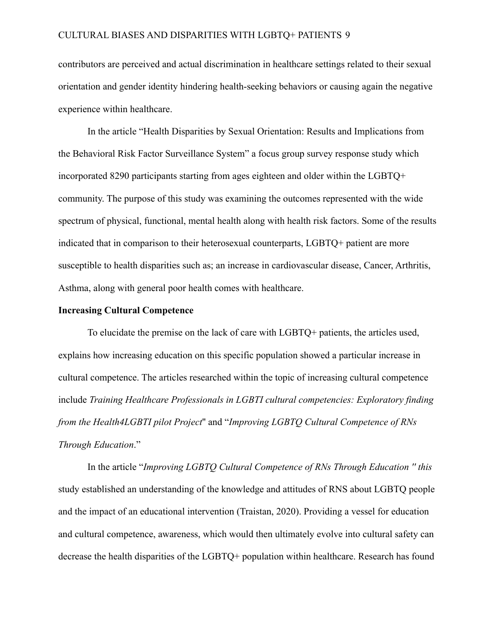contributors are perceived and actual discrimination in healthcare settings related to their sexual orientation and gender identity hindering health-seeking behaviors or causing again the negative experience within healthcare.

In the article "Health Disparities by Sexual Orientation: Results and Implications from the Behavioral Risk Factor Surveillance System" a focus group survey response study which incorporated 8290 participants starting from ages eighteen and older within the LGBTQ+ community. The purpose of this study was examining the outcomes represented with the wide spectrum of physical, functional, mental health along with health risk factors. Some of the results indicated that in comparison to their heterosexual counterparts, LGBTQ+ patient are more susceptible to health disparities such as; an increase in cardiovascular disease, Cancer, Arthritis, Asthma, along with general poor health comes with healthcare.

#### <span id="page-9-0"></span>**Increasing Cultural Competence**

To elucidate the premise on the lack of care with LGBTQ+ patients, the articles used, explains how increasing education on this specific population showed a particular increase in cultural competence. The articles researched within the topic of increasing cultural competence include *Training Healthcare Professionals in LGBTI cultural competencies: Exploratory finding from the Health4LGBTI pilot Project*'' and "*Improving LGBTQ Cultural Competence of RNs Through Education*."

In the article "*Improving LGBTQ Cultural Competence of RNs Through Education '' this* study established an understanding of the knowledge and attitudes of RNS about LGBTQ people and the impact of an educational intervention (Traistan, 2020). Providing a vessel for education and cultural competence, awareness, which would then ultimately evolve into cultural safety can decrease the health disparities of the LGBTQ+ population within healthcare. Research has found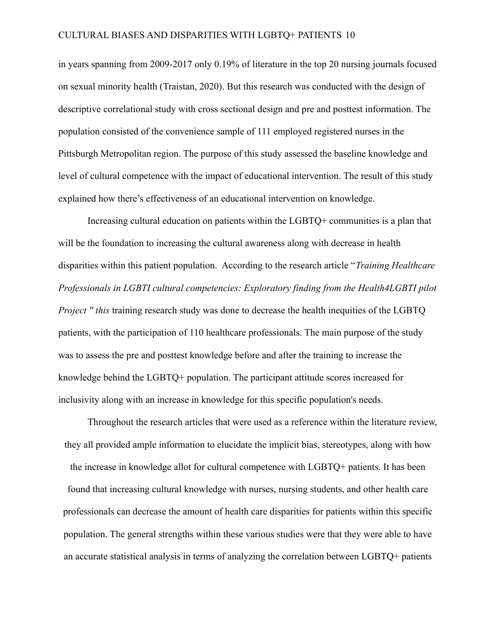in years spanning from 2009-2017 only 0.19% of literature in the top 20 nursing journals focused on sexual minority health (Traistan, 2020). But this research was conducted with the design of descriptive correlational study with cross sectional design and pre and posttest information. The population consisted of the convenience sample of 111 employed registered nurses in the Pittsburgh Metropolitan region. The purpose of this study assessed the baseline knowledge and level of cultural competence with the impact of educational intervention. The result of this study explained how there's effectiveness of an educational intervention on knowledge.

Increasing cultural education on patients within the LGBTQ+ communities is a plan that will be the foundation to increasing the cultural awareness along with decrease in health disparities within this patient population. According to the research article "*Training Healthcare Professionals in LGBTI cultural competencies: Exploratory finding from the Health4LGBTI pilot Project " this* training research study was done to decrease the health inequities of the LGBTQ patients, with the participation of 110 healthcare professionals. The main purpose of the study was to assess the pre and posttest knowledge before and after the training to increase the knowledge behind the LGBTQ+ population. The participant attitude scores increased for inclusivity along with an increase in knowledge for this specific population's needs.

Throughout the research articles that were used as a reference within the literature review, they all provided ample information to elucidate the implicit bias, stereotypes, along with how the increase in knowledge allot for cultural competence with LGBTQ+ patients. It has been found that increasing cultural knowledge with nurses, nursing students, and other health care professionals can decrease the amount of health care disparities for patients within this specific population. The general strengths within these various studies were that they were able to have an accurate statistical analysis in terms of analyzing the correlation between LGBTQ+ patients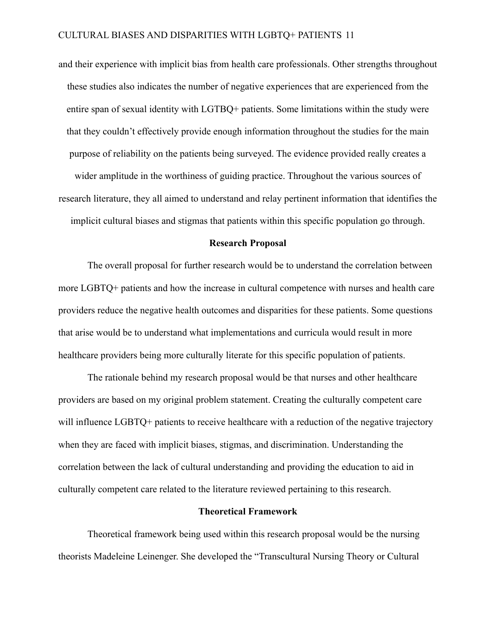and their experience with implicit bias from health care professionals. Other strengths throughout these studies also indicates the number of negative experiences that are experienced from the entire span of sexual identity with LGTBQ+ patients. Some limitations within the study were that they couldn't effectively provide enough information throughout the studies for the main purpose of reliability on the patients being surveyed. The evidence provided really creates a

wider amplitude in the worthiness of guiding practice. Throughout the various sources of research literature, they all aimed to understand and relay pertinent information that identifies the implicit cultural biases and stigmas that patients within this specific population go through.

#### **Research Proposal**

<span id="page-11-0"></span>The overall proposal for further research would be to understand the correlation between more LGBTQ+ patients and how the increase in cultural competence with nurses and health care providers reduce the negative health outcomes and disparities for these patients. Some questions that arise would be to understand what implementations and curricula would result in more healthcare providers being more culturally literate for this specific population of patients.

The rationale behind my research proposal would be that nurses and other healthcare providers are based on my original problem statement. Creating the culturally competent care will influence LGBTQ+ patients to receive healthcare with a reduction of the negative trajectory when they are faced with implicit biases, stigmas, and discrimination. Understanding the correlation between the lack of cultural understanding and providing the education to aid in culturally competent care related to the literature reviewed pertaining to this research.

#### **Theoretical Framework**

<span id="page-11-1"></span>Theoretical framework being used within this research proposal would be the nursing theorists Madeleine Leinenger. She developed the "Transcultural Nursing Theory or Cultural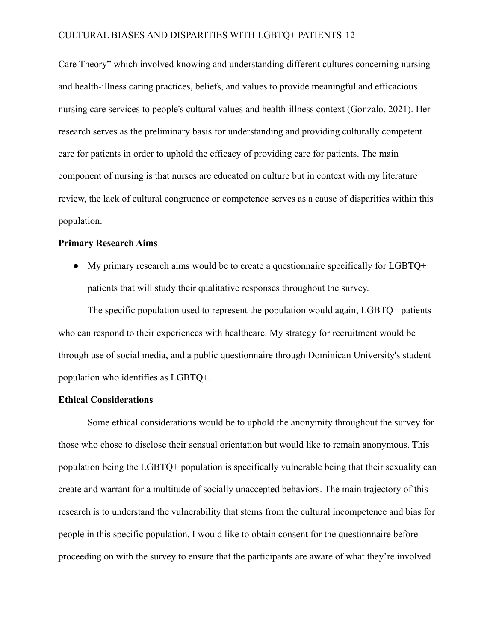Care Theory" which involved knowing and understanding different cultures concerning nursing and health-illness caring practices, beliefs, and values to provide meaningful and efficacious nursing care services to people's cultural values and health-illness context (Gonzalo, 2021). Her research serves as the preliminary basis for understanding and providing culturally competent care for patients in order to uphold the efficacy of providing care for patients. The main component of nursing is that nurses are educated on culture but in context with my literature review, the lack of cultural congruence or competence serves as a cause of disparities within this population.

#### <span id="page-12-0"></span>**Primary Research Aims**

 $\bullet$  My primary research aims would be to create a questionnaire specifically for LGBTQ+ patients that will study their qualitative responses throughout the survey.

The specific population used to represent the population would again, LGBTQ+ patients who can respond to their experiences with healthcare. My strategy for recruitment would be through use of social media, and a public questionnaire through Dominican University's student population who identifies as LGBTQ+.

#### <span id="page-12-1"></span>**Ethical Considerations**

Some ethical considerations would be to uphold the anonymity throughout the survey for those who chose to disclose their sensual orientation but would like to remain anonymous. This population being the LGBTQ+ population is specifically vulnerable being that their sexuality can create and warrant for a multitude of socially unaccepted behaviors. The main trajectory of this research is to understand the vulnerability that stems from the cultural incompetence and bias for people in this specific population. I would like to obtain consent for the questionnaire before proceeding on with the survey to ensure that the participants are aware of what they're involved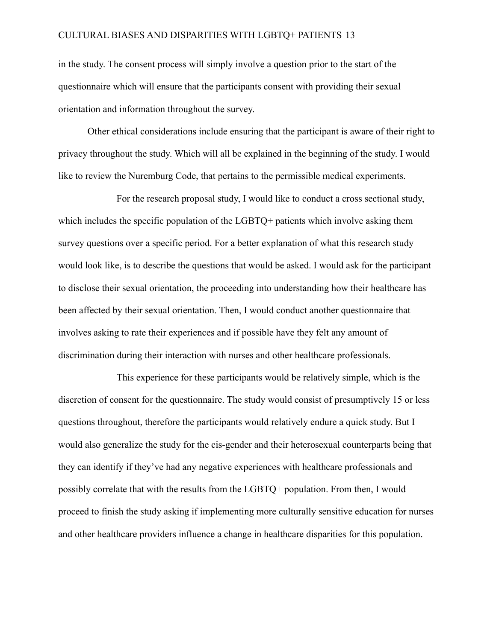in the study. The consent process will simply involve a question prior to the start of the questionnaire which will ensure that the participants consent with providing their sexual orientation and information throughout the survey.

Other ethical considerations include ensuring that the participant is aware of their right to privacy throughout the study. Which will all be explained in the beginning of the study. I would like to review the Nuremburg Code, that pertains to the permissible medical experiments.

For the research proposal study, I would like to conduct a cross sectional study, which includes the specific population of the LGBTQ+ patients which involve asking them survey questions over a specific period. For a better explanation of what this research study would look like, is to describe the questions that would be asked. I would ask for the participant to disclose their sexual orientation, the proceeding into understanding how their healthcare has been affected by their sexual orientation. Then, I would conduct another questionnaire that involves asking to rate their experiences and if possible have they felt any amount of discrimination during their interaction with nurses and other healthcare professionals.

This experience for these participants would be relatively simple, which is the discretion of consent for the questionnaire. The study would consist of presumptively 15 or less questions throughout, therefore the participants would relatively endure a quick study. But I would also generalize the study for the cis-gender and their heterosexual counterparts being that they can identify if they've had any negative experiences with healthcare professionals and possibly correlate that with the results from the LGBTQ+ population. From then, I would proceed to finish the study asking if implementing more culturally sensitive education for nurses and other healthcare providers influence a change in healthcare disparities for this population.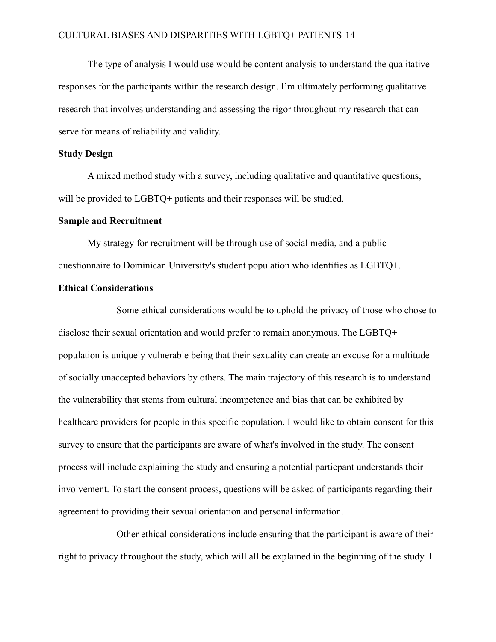The type of analysis I would use would be content analysis to understand the qualitative responses for the participants within the research design. I'm ultimately performing qualitative research that involves understanding and assessing the rigor throughout my research that can serve for means of reliability and validity.

#### <span id="page-14-0"></span>**Study Design**

A mixed method study with a survey, including qualitative and quantitative questions, will be provided to LGBTQ+ patients and their responses will be studied.

#### <span id="page-14-1"></span>**Sample and Recruitment**

My strategy for recruitment will be through use of social media, and a public questionnaire to Dominican University's student population who identifies as LGBTQ+.

#### <span id="page-14-2"></span>**Ethical Considerations**

Some ethical considerations would be to uphold the privacy of those who chose to disclose their sexual orientation and would prefer to remain anonymous. The LGBTQ+ population is uniquely vulnerable being that their sexuality can create an excuse for a multitude of socially unaccepted behaviors by others. The main trajectory of this research is to understand the vulnerability that stems from cultural incompetence and bias that can be exhibited by healthcare providers for people in this specific population. I would like to obtain consent for this survey to ensure that the participants are aware of what's involved in the study. The consent process will include explaining the study and ensuring a potential particpant understands their involvement. To start the consent process, questions will be asked of participants regarding their agreement to providing their sexual orientation and personal information.

Other ethical considerations include ensuring that the participant is aware of their right to privacy throughout the study, which will all be explained in the beginning of the study. I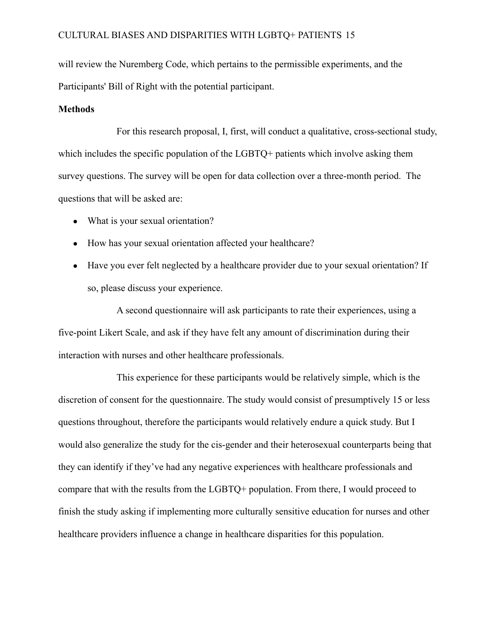will review the Nuremberg Code, which pertains to the permissible experiments, and the Participants' Bill of Right with the potential participant.

#### <span id="page-15-0"></span>**Methods**

For this research proposal, I, first, will conduct a qualitative, cross-sectional study, which includes the specific population of the LGBTQ+ patients which involve asking them survey questions. The survey will be open for data collection over a three-month period. The questions that will be asked are:

- What is your sexual orientation?
- How has your sexual orientation affected your healthcare?
- Have you ever felt neglected by a healthcare provider due to your sexual orientation? If so, please discuss your experience.

A second questionnaire will ask participants to rate their experiences, using a five-point Likert Scale, and ask if they have felt any amount of discrimination during their interaction with nurses and other healthcare professionals.

This experience for these participants would be relatively simple, which is the discretion of consent for the questionnaire. The study would consist of presumptively 15 or less questions throughout, therefore the participants would relatively endure a quick study. But I would also generalize the study for the cis-gender and their heterosexual counterparts being that they can identify if they've had any negative experiences with healthcare professionals and compare that with the results from the LGBTQ+ population. From there, I would proceed to finish the study asking if implementing more culturally sensitive education for nurses and other healthcare providers influence a change in healthcare disparities for this population.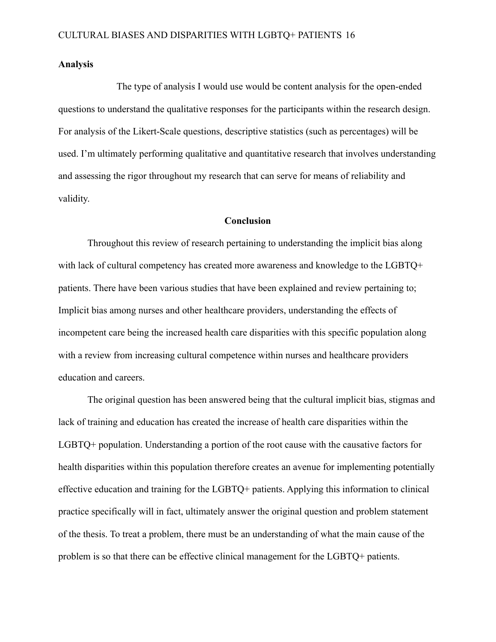#### <span id="page-16-0"></span>**Analysis**

The type of analysis I would use would be content analysis for the open-ended questions to understand the qualitative responses for the participants within the research design. For analysis of the Likert-Scale questions, descriptive statistics (such as percentages) will be used. I'm ultimately performing qualitative and quantitative research that involves understanding and assessing the rigor throughout my research that can serve for means of reliability and validity.

#### **Conclusion**

<span id="page-16-1"></span>Throughout this review of research pertaining to understanding the implicit bias along with lack of cultural competency has created more awareness and knowledge to the LGBTQ+ patients. There have been various studies that have been explained and review pertaining to; Implicit bias among nurses and other healthcare providers, understanding the effects of incompetent care being the increased health care disparities with this specific population along with a review from increasing cultural competence within nurses and healthcare providers education and careers.

The original question has been answered being that the cultural implicit bias, stigmas and lack of training and education has created the increase of health care disparities within the LGBTQ+ population. Understanding a portion of the root cause with the causative factors for health disparities within this population therefore creates an avenue for implementing potentially effective education and training for the LGBTQ+ patients. Applying this information to clinical practice specifically will in fact, ultimately answer the original question and problem statement of the thesis. To treat a problem, there must be an understanding of what the main cause of the problem is so that there can be effective clinical management for the LGBTQ+ patients.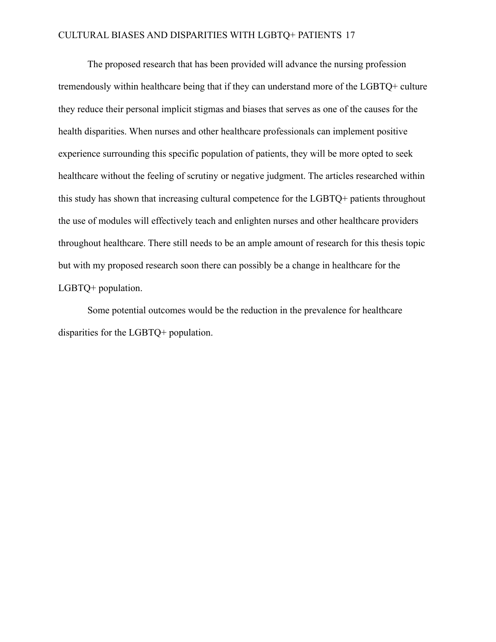The proposed research that has been provided will advance the nursing profession tremendously within healthcare being that if they can understand more of the LGBTQ+ culture they reduce their personal implicit stigmas and biases that serves as one of the causes for the health disparities. When nurses and other healthcare professionals can implement positive experience surrounding this specific population of patients, they will be more opted to seek healthcare without the feeling of scrutiny or negative judgment. The articles researched within this study has shown that increasing cultural competence for the LGBTQ+ patients throughout the use of modules will effectively teach and enlighten nurses and other healthcare providers throughout healthcare. There still needs to be an ample amount of research for this thesis topic but with my proposed research soon there can possibly be a change in healthcare for the LGBTQ+ population.

Some potential outcomes would be the reduction in the prevalence for healthcare disparities for the LGBTQ+ population.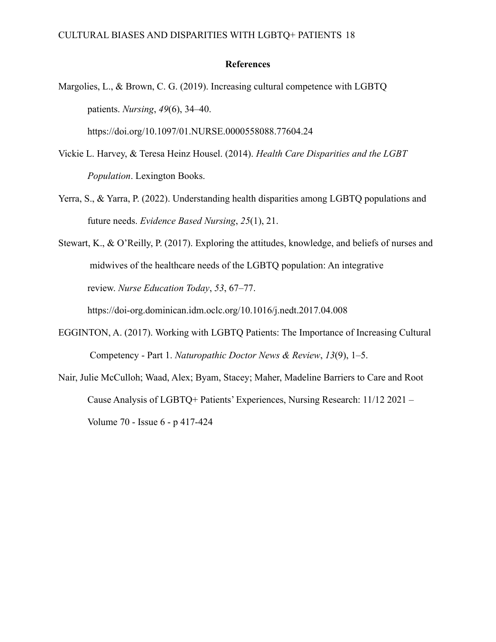#### **References**

- <span id="page-18-0"></span>Margolies, L., & Brown, C. G. (2019). Increasing cultural competence with LGBTQ patients. *Nursing*, *49*(6), 34–40. https://doi.org/10.1097/01.NURSE.0000558088.77604.24
- Vickie L. Harvey, & Teresa Heinz Housel. (2014). *Health Care Disparities and the LGBT Population*. Lexington Books.
- Yerra, S., & Yarra, P. (2022). Understanding health disparities among LGBTQ populations and future needs. *Evidence Based Nursing*, *25*(1), 21.
- Stewart, K., & O'Reilly, P. (2017). Exploring the attitudes, knowledge, and beliefs of nurses and midwives of the healthcare needs of the LGBTQ population: An integrative review. *Nurse Education Today*, *53*, 67–77.

https://doi-org.dominican.idm.oclc.org/10.1016/j.nedt.2017.04.008

- EGGINTON, A. (2017). Working with LGBTQ Patients: The Importance of Increasing Cultural Competency - Part 1. *Naturopathic Doctor News & Review*, *13*(9), 1–5.
- Nair, Julie McCulloh; Waad, Alex; Byam, Stacey; Maher, Madeline Barriers to Care and Root Cause Analysis of LGBTQ+ Patients' Experiences, Nursing Research: 11/12 2021 – Volume 70 - Issue 6 - p 417-424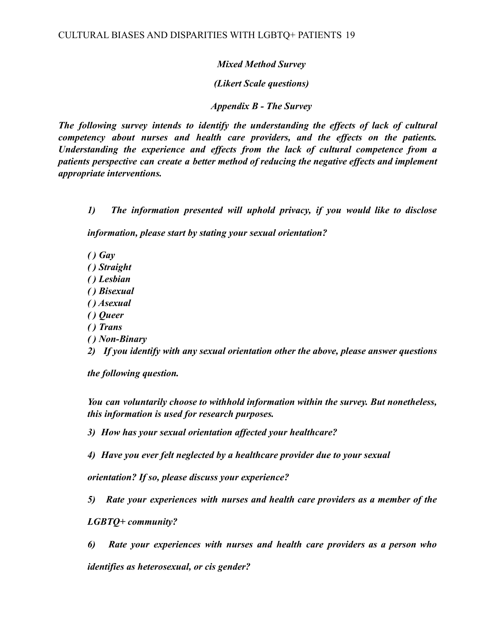### *Mixed Method Survey*

*(Likert Scale questions)*

*Appendix B - The Survey*

*The following survey intends to identify the understanding the effects of lack of cultural competency about nurses and health care providers, and the effects on the patients. Understanding the experience and effects from the lack of cultural competence from a patients perspective can create a better method of reducing the negative effects and implement appropriate interventions.*

*1) The information presented will uphold privacy, if you would like to disclose*

*information, please start by stating your sexual orientation?*

- *( ) Gay*
- *( ) Straight*
- *( ) Lesbian*
- *( ) Bisexual*
- *( ) Asexual*
- *( ) Queer*
- *( ) Trans*
- *( ) Non-Binary*

*2) If you identify with any sexual orientation other the above, please answer questions*

*the following question.*

*You can voluntarily choose to withhold information within the survey. But nonetheless, this information is used for research purposes.*

*3) How has your sexual orientation affected your healthcare?*

*4) Have you ever felt neglected by a healthcare provider due to your sexual*

*orientation? If so, please discuss your experience?*

*5) Rate your experiences with nurses and health care providers as a member of the*

*LGBTQ+ community?*

*6) Rate your experiences with nurses and health care providers as a person who identifies as heterosexual, or cis gender?*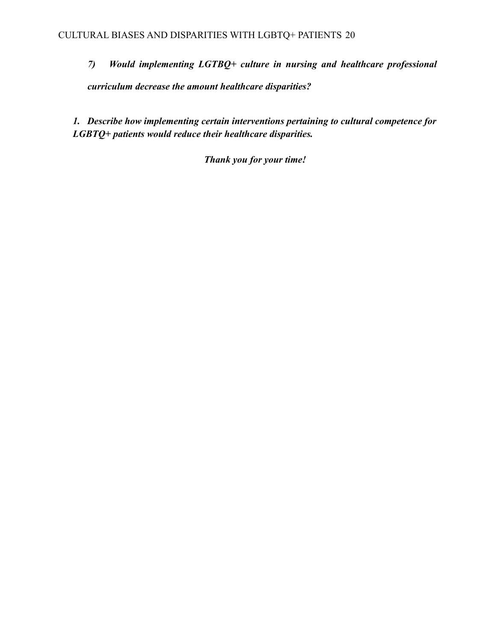*7) Would implementing LGTBQ+ culture in nursing and healthcare professional curriculum decrease the amount healthcare disparities?*

*1. Describe how implementing certain interventions pertaining to cultural competence for LGBTQ+ patients would reduce their healthcare disparities.*

*Thank you for your time!*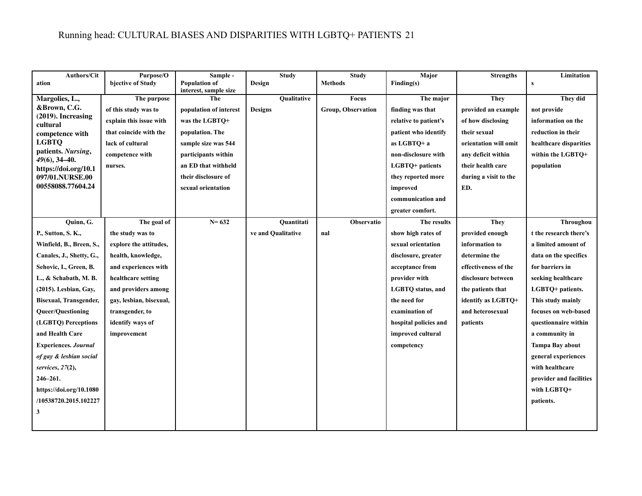## Running head: CULTURAL BIASES AND DISPARITIES WITH LGBTQ+ PATIENTS 21

| <b>Authors/Cit</b>                     | Purpose/O               | Sample -                                      | <b>Study</b>       | <b>Study</b>       | Major                    | <b>Strengths</b>      | Limitation              |
|----------------------------------------|-------------------------|-----------------------------------------------|--------------------|--------------------|--------------------------|-----------------------|-------------------------|
| ation                                  | bjective of Study       | <b>Population of</b><br>interest, sample size | Design             | <b>Methods</b>     | Finding(s)               |                       | $\mathbf{s}$            |
| Margolies, L.,                         | The purpose             | The                                           | <b>Oualitative</b> | <b>Focus</b>       | The major                | <b>They</b>           | They did                |
| &Brown, C.G.                           | of this study was to    | population of interest                        | <b>Designs</b>     | Group, Observation | finding was that         | provided an example   | not provide             |
| $(2019)$ . Increasing<br>cultural      | explain this issue with | was the LGBTQ+                                |                    |                    | relative to patient's    | of how disclosing     | information on the      |
| competence with                        | that coincide with the  | population. The                               |                    |                    | patient who identify     | their sexual          | reduction in their      |
| <b>LGBTQ</b>                           | lack of cultural        | sample size was 544                           |                    |                    | as LGBTO+ a              | orientation will omit | healthcare disparities  |
| patients. Nursing,<br>$49(6)$ , 34-40. | competence with         | participants within                           |                    |                    | non-disclosure with      | any deficit within    | within the LGBTQ+       |
| https://doi.org/10.1                   | nurses.                 | an ED that withheld                           |                    |                    | LGBTQ+ patients          | their health care     | population              |
| 097/01.NURSE.00                        |                         | their disclosure of                           |                    |                    | they reported more       | during a visit to the |                         |
| 00558088.77604.24                      |                         | sexual orientation                            |                    |                    | improved                 | ED.                   |                         |
|                                        |                         |                                               |                    |                    | communication and        |                       |                         |
|                                        |                         |                                               |                    |                    | greater comfort.         |                       |                         |
| Ouinn, G.                              | The goal of             | $N = 632$                                     | <b>Ouantitati</b>  | <b>Observatio</b>  | The results              | <b>They</b>           | Throughou               |
| P., Sutton, S. K.,                     | the study was to        |                                               | ve and Qualitative | nal                | show high rates of       | provided enough       | t the research there's  |
| Winfield, B., Breen, S.,               | explore the attitudes,  |                                               |                    |                    | sexual orientation       | information to        | a limited amount of     |
| Canales, J., Shetty, G.,               | health, knowledge,      |                                               |                    |                    | disclosure, greater      | determine the         | data on the specifics   |
| Sehovic, I., Green, B.                 | and experiences with    |                                               |                    |                    | acceptance from          | effectiveness of the  | for barriers in         |
| L., & Schabath, M. B.                  | healthcare setting      |                                               |                    |                    | provider with            | disclosure between    | seeking healthcare      |
| (2015). Lesbian, Gay,                  | and providers among     |                                               |                    |                    | <b>LGBTQ</b> status, and | the patients that     | LGBTQ+ patients.        |
| Bisexual, Transgender,                 | gay, lesbian, bisexual, |                                               |                    |                    | the need for             | identify as LGBTQ+    | This study mainly       |
| <b>Queer/Questioning</b>               | transgender, to         |                                               |                    |                    | examination of           | and heterosexual      | focuses on web-based    |
| (LGBTO) Perceptions                    | identify ways of        |                                               |                    |                    | hospital policies and    | patients              | questionnaire within    |
| and Health Care                        | improvement             |                                               |                    |                    | improved cultural        |                       | a community in          |
| <b>Experiences. Journal</b>            |                         |                                               |                    |                    | competency               |                       | Tampa Bay about         |
| of gay & lesbian social                |                         |                                               |                    |                    |                          |                       | general experiences     |
| services, $27(2)$ ,                    |                         |                                               |                    |                    |                          |                       | with healthcare         |
| $246 - 261.$                           |                         |                                               |                    |                    |                          |                       | provider and facilities |
| https://doi.org/10.1080                |                         |                                               |                    |                    |                          |                       | with LGBTQ+             |
| /10538720.2015.102227                  |                         |                                               |                    |                    |                          |                       | patients.               |
| 3                                      |                         |                                               |                    |                    |                          |                       |                         |
|                                        |                         |                                               |                    |                    |                          |                       |                         |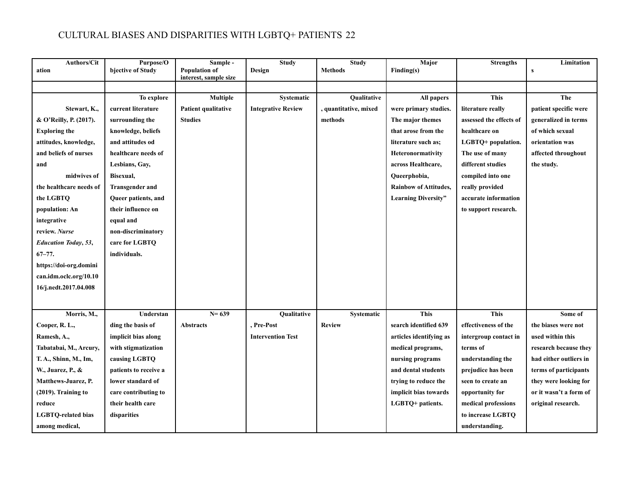| <b>Authors/Cit</b><br>ation  | Purpose/O<br>bjective of Study | Sample -<br><b>Population of</b><br>interest, sample size | <b>Study</b><br>Design    | <b>Study</b><br><b>Methods</b> | Major<br>Finding(s)          | <b>Strengths</b>        | Limitation<br>s        |
|------------------------------|--------------------------------|-----------------------------------------------------------|---------------------------|--------------------------------|------------------------------|-------------------------|------------------------|
|                              | To explore                     | <b>Multiple</b>                                           | Systematic                | Qualitative                    | All papers                   | <b>This</b>             | The                    |
| Stewart, K.,                 | current literature             | Patient qualitative                                       | <b>Integrative Review</b> | , quantitative, mixed          | were primary studies.        | literature really       | patient specific were  |
| & O'Reilly, P. (2017).       | surrounding the                | <b>Studies</b>                                            |                           | methods                        | The major themes             | assessed the effects of | generalized in terms   |
| <b>Exploring the</b>         | knowledge, beliefs             |                                                           |                           |                                | that arose from the          | healthcare on           | of which sexual        |
| attitudes, knowledge,        | and attitudes od               |                                                           |                           |                                | literature such as:          | LGBTQ+ population.      | orientation was        |
| and beliefs of nurses        | healthcare needs of            |                                                           |                           |                                | Heteronormativity            | The use of many         | affected throughout    |
| and                          | Lesbians, Gay,                 |                                                           |                           |                                | across Healthcare,           | different studies       | the study.             |
| midwives of                  | Bisexual,                      |                                                           |                           |                                | Queerphobia,                 | compiled into one       |                        |
| the healthcare needs of      | <b>Transgender and</b>         |                                                           |                           |                                | <b>Rainbow of Attitudes,</b> | really provided         |                        |
| the LGBTQ                    | Queer patients, and            |                                                           |                           |                                | <b>Learning Diversity"</b>   | accurate information    |                        |
| population: An               | their influence on             |                                                           |                           |                                |                              | to support research.    |                        |
| integrative                  | equal and                      |                                                           |                           |                                |                              |                         |                        |
| review. Nurse                | non-discriminatory             |                                                           |                           |                                |                              |                         |                        |
| <b>Education Today</b> , 53, | care for LGBTQ                 |                                                           |                           |                                |                              |                         |                        |
| $67 - 77.$                   | individuals.                   |                                                           |                           |                                |                              |                         |                        |
| https://doi-org.domini       |                                |                                                           |                           |                                |                              |                         |                        |
| can.idm.oclc.org/10.10       |                                |                                                           |                           |                                |                              |                         |                        |
| 16/j.nedt.2017.04.008        |                                |                                                           |                           |                                |                              |                         |                        |
|                              |                                |                                                           |                           |                                |                              |                         |                        |
| Morris, M.,                  | Understan                      | $N = 639$                                                 | Qualitative               | Systematic                     | <b>This</b>                  | <b>This</b>             | Some of                |
| Cooper, R. L.,               | ding the basis of              | <b>Abstracts</b>                                          | , Pre-Post                | <b>Review</b>                  | search identified 639        | effectiveness of the    | the biases were not    |
| Ramesh, A.,                  | implicit bias along            |                                                           | <b>Intervention Test</b>  |                                | articles identifying as      | intergroup contact in   | used within this       |
| Tabatabai, M., Arcury,       | with stigmatization            |                                                           |                           |                                | medical programs,            | terms of                | research because they  |
| T. A., Shinn, M., Im,        | causing LGBTQ                  |                                                           |                           |                                | nursing programs             | understanding the       | had either outliers in |
| W., Juarez, P., &            | patients to receive a          |                                                           |                           |                                | and dental students          | prejudice has been      | terms of participants  |
| Matthews-Juarez, P.          | lower standard of              |                                                           |                           |                                | trying to reduce the         | seen to create an       | they were looking for  |
| $(2019)$ . Training to       | care contributing to           |                                                           |                           |                                | implicit bias towards        | opportunity for         | or it wasn't a form of |
| reduce                       | their health care              |                                                           |                           |                                | LGBTQ+ patients.             | medical professions     | original research.     |
| <b>LGBTQ-related bias</b>    | disparities                    |                                                           |                           |                                |                              | to increase LGBTQ       |                        |
| among medical,               |                                |                                                           |                           |                                |                              | understanding.          |                        |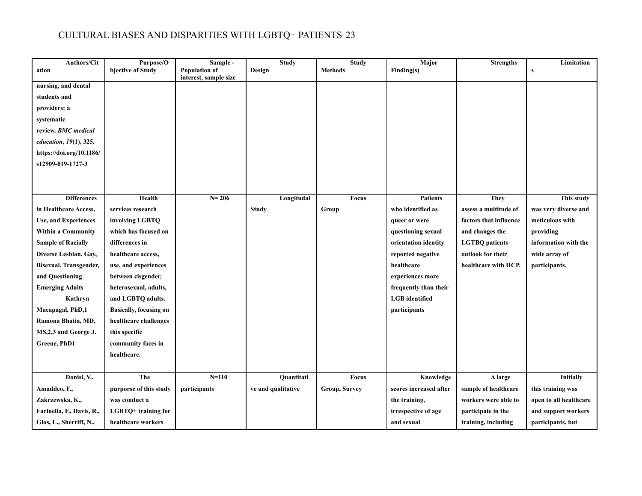| <b>Authors/Cit</b>            | Purpose/O                     | Sample -                                      | <b>Study</b>       | <b>Study</b>   | Major                  | <b>Strengths</b>       | Limitation             |
|-------------------------------|-------------------------------|-----------------------------------------------|--------------------|----------------|------------------------|------------------------|------------------------|
| ation                         | bjective of Study             | <b>Population of</b><br>interest, sample size | Design             | <b>Methods</b> | Finding(s)             |                        | S                      |
| nursing, and dental           |                               |                                               |                    |                |                        |                        |                        |
| students and                  |                               |                                               |                    |                |                        |                        |                        |
| providers: a                  |                               |                                               |                    |                |                        |                        |                        |
| systematic                    |                               |                                               |                    |                |                        |                        |                        |
| review. BMC medical           |                               |                                               |                    |                |                        |                        |                        |
| education, 19(1), 325.        |                               |                                               |                    |                |                        |                        |                        |
| https://doi.org/10.1186/      |                               |                                               |                    |                |                        |                        |                        |
| s12909-019-1727-3             |                               |                                               |                    |                |                        |                        |                        |
|                               |                               |                                               |                    |                |                        |                        |                        |
|                               |                               |                                               |                    |                |                        |                        |                        |
| <b>Differences</b>            | Health                        | $N = 206$                                     | Longitudal         | Focus          | <b>Patients</b>        | <b>They</b>            | This study             |
| in Healthcare Access,         | services research             |                                               | <b>Study</b>       | Group          | who identified as      | assess a multitude of  | was very diverse and   |
| <b>Use, and Experiences</b>   | involving LGBTQ               |                                               |                    |                | queer or were          | factors that influence | meticulous with        |
| <b>Within a Community</b>     | which has focused on          |                                               |                    |                | questioning sexual     | and changes the        | providing              |
| <b>Sample of Racially</b>     | differences in                |                                               |                    |                | orientation identity   | <b>LGTBQ</b> patients  | information with the   |
| Diverse Lesbian, Gay,         | healthcare access,            |                                               |                    |                | reported negative      | outlook for their      | wide array of          |
| <b>Bisexual, Transgender,</b> | use, and experiences          |                                               |                    |                | healthcare             | healthcare with HCP.   | participants.          |
| and Questioning               | between cisgender,            |                                               |                    |                | experiences more       |                        |                        |
| <b>Emerging Adults</b>        | heterosexual, adults,         |                                               |                    |                | frequently than their  |                        |                        |
| Kathryn                       | and LGBTQ adults.             |                                               |                    |                | <b>LGB</b> identified  |                        |                        |
| Macapagal, PhD,1              | <b>Basically, focusing on</b> |                                               |                    |                | participants           |                        |                        |
| Ramona Bhatia, MD,            | healthcare challenges         |                                               |                    |                |                        |                        |                        |
| MS,2,3 and George J.          | this specific                 |                                               |                    |                |                        |                        |                        |
| Greene, PhD1                  | community faces in            |                                               |                    |                |                        |                        |                        |
|                               | healthcare.                   |                                               |                    |                |                        |                        |                        |
|                               |                               |                                               |                    |                |                        |                        |                        |
| Donisi, V.,                   | The                           | $N = 110$                                     | <b>Ouantitati</b>  | <b>Focus</b>   | Knowledge              | A large                | <b>Initially</b>       |
| Amaddeo, F.,                  | purporse of this study        | participants                                  | ve and qualitative | Group, Survey  | scores increased after | sample of healthcare   | this training was      |
| Zakrzewska, K.,               | was conduct a                 |                                               |                    |                | the training,          | workers were able to   | open to all healthcare |
| Farinella, F., Davis, R.,     | LGBTQ+ training for           |                                               |                    |                | irrespective of age    | participate in the     | and support workers    |
| Gios, L., Sherriff, N.,       | healthcare workers            |                                               |                    |                | and sexual             | training, including    | participants, but      |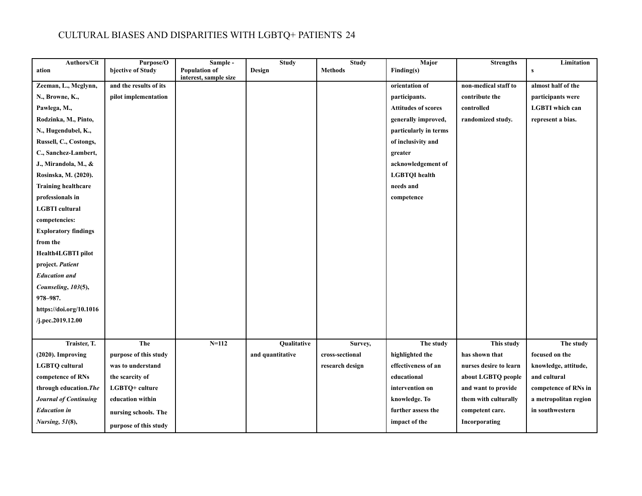| <b>Authors/Cit</b>          | Purpose/O              | Sample -                                      | <b>Study</b>     | <b>Study</b>    | <b>Major</b>               | <b>Strengths</b>       | Limitation             |
|-----------------------------|------------------------|-----------------------------------------------|------------------|-----------------|----------------------------|------------------------|------------------------|
| ation                       | bjective of Study      | <b>Population of</b><br>interest, sample size | Design           | <b>Methods</b>  | Finding(s)                 |                        | $\mathbf{s}$           |
| Zeeman, L., Mcglynn,        | and the results of its |                                               |                  |                 | orientation of             | non-medical staff to   | almost half of the     |
| N., Browne, K.,             | pilot implementation   |                                               |                  |                 | participants.              | contribute the         | participants were      |
| Pawlega, M.,                |                        |                                               |                  |                 | <b>Attitudes of scores</b> | controlled             | <b>LGBTI</b> which can |
| Rodzinka, M., Pinto,        |                        |                                               |                  |                 | generally improved,        | randomized study.      | represent a bias.      |
| N., Hugendubel, K.,         |                        |                                               |                  |                 | particularly in terms      |                        |                        |
| Russell, C., Costongs,      |                        |                                               |                  |                 | of inclusivity and         |                        |                        |
| C., Sanchez-Lambert,        |                        |                                               |                  |                 | greater                    |                        |                        |
| J., Mirandola, M., &        |                        |                                               |                  |                 | acknowledgement of         |                        |                        |
| Rosinska, M. (2020).        |                        |                                               |                  |                 | <b>LGBTQI</b> health       |                        |                        |
| <b>Training healthcare</b>  |                        |                                               |                  |                 | needs and                  |                        |                        |
| professionals in            |                        |                                               |                  |                 | competence                 |                        |                        |
| <b>LGBTI</b> cultural       |                        |                                               |                  |                 |                            |                        |                        |
| competencies:               |                        |                                               |                  |                 |                            |                        |                        |
| <b>Exploratory findings</b> |                        |                                               |                  |                 |                            |                        |                        |
| from the                    |                        |                                               |                  |                 |                            |                        |                        |
| Health4LGBTI pilot          |                        |                                               |                  |                 |                            |                        |                        |
| project. Patient            |                        |                                               |                  |                 |                            |                        |                        |
| <b>Education and</b>        |                        |                                               |                  |                 |                            |                        |                        |
| Counseling, 103(5),         |                        |                                               |                  |                 |                            |                        |                        |
| 978-987.                    |                        |                                               |                  |                 |                            |                        |                        |
| https://doi.org/10.1016     |                        |                                               |                  |                 |                            |                        |                        |
| /j.pec.2019.12.00           |                        |                                               |                  |                 |                            |                        |                        |
|                             |                        |                                               |                  |                 |                            |                        |                        |
| Traister, T.                | The                    | $N = 112$                                     | Qualitative      | Survey,         | The study                  | This study             | The study              |
| (2020). Improving           | purpose of this study  |                                               | and quantitative | cross-sectional | highlighted the            | has shown that         | focused on the         |
| <b>LGBTQ</b> cultural       | was to understand      |                                               |                  | research design | effectiveness of an        | nurses desire to learn | knowledge, attitude,   |
| competence of RNs           | the scarcity of        |                                               |                  |                 | educational                | about LGBTQ people     | and cultural           |
| through education. The      | LGBTQ+ culture         |                                               |                  |                 | intervention on            | and want to provide    | competence of RNs in   |
| Journal of Continuing       | education within       |                                               |                  |                 | knowledge. To              | them with culturally   | a metropolitan region  |
| <b>Education</b> in         | nursing schools. The   |                                               |                  |                 | further assess the         | competent care.        | in southwestern        |
| <b>Nursing</b> , 51(8),     | purpose of this study  |                                               |                  |                 | impact of the              | Incorporating          |                        |